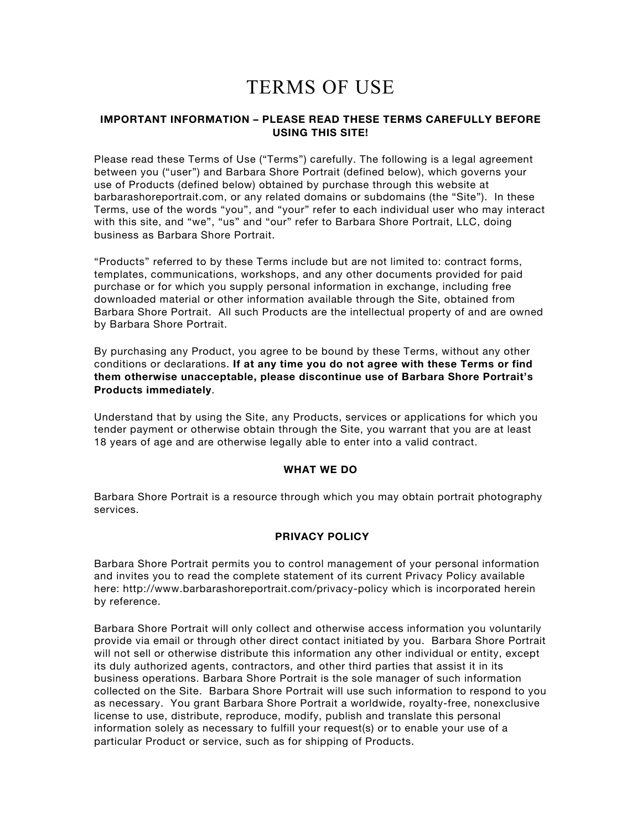# TERMS OF USE

# **IMPORTANT INFORMATION – PLEASE READ THESE TERMS CAREFULLY BEFORE USING THIS SITE!**

Please read these Terms of Use ("Terms") carefully. The following is a legal agreement between you ("user") and Barbara Shore Portrait (defined below), which governs your use of Products (defined below) obtained by purchase through this website at barbarashoreportrait.com, or any related domains or subdomains (the "Site"). In these Terms, use of the words "you", and "your" refer to each individual user who may interact with this site, and "we", "us" and "our" refer to Barbara Shore Portrait, LLC, doing business as Barbara Shore Portrait.

"Products" referred to by these Terms include but are not limited to: contract forms, templates, communications, workshops, and any other documents provided for paid purchase or for which you supply personal information in exchange, including free downloaded material or other information available through the Site, obtained from Barbara Shore Portrait. All such Products are the intellectual property of and are owned by Barbara Shore Portrait.

By purchasing any Product, you agree to be bound by these Terms, without any other conditions or declarations. **If at any time you do not agree with these Terms or find them otherwise unacceptable, please discontinue use of Barbara Shore Portrait's Products immediately**.

Understand that by using the Site, any Products, services or applications for which you tender payment or otherwise obtain through the Site, you warrant that you are at least 18 years of age and are otherwise legally able to enter into a valid contract.

# **WHAT WE DO**

Barbara Shore Portrait is a resource through which you may obtain portrait photography services.

# **PRIVACY POLICY**

Barbara Shore Portrait permits you to control management of your personal information and invites you to read the complete statement of its current Privacy Policy available here: http://www.barbarashoreportrait.com/privacy-policy which is incorporated herein by reference.

Barbara Shore Portrait will only collect and otherwise access information you voluntarily provide via email or through other direct contact initiated by you. Barbara Shore Portrait will not sell or otherwise distribute this information any other individual or entity, except its duly authorized agents, contractors, and other third parties that assist it in its business operations. Barbara Shore Portrait is the sole manager of such information collected on the Site. Barbara Shore Portrait will use such information to respond to you as necessary. You grant Barbara Shore Portrait a worldwide, royalty-free, nonexclusive license to use, distribute, reproduce, modify, publish and translate this personal information solely as necessary to fulfill your request(s) or to enable your use of a particular Product or service, such as for shipping of Products.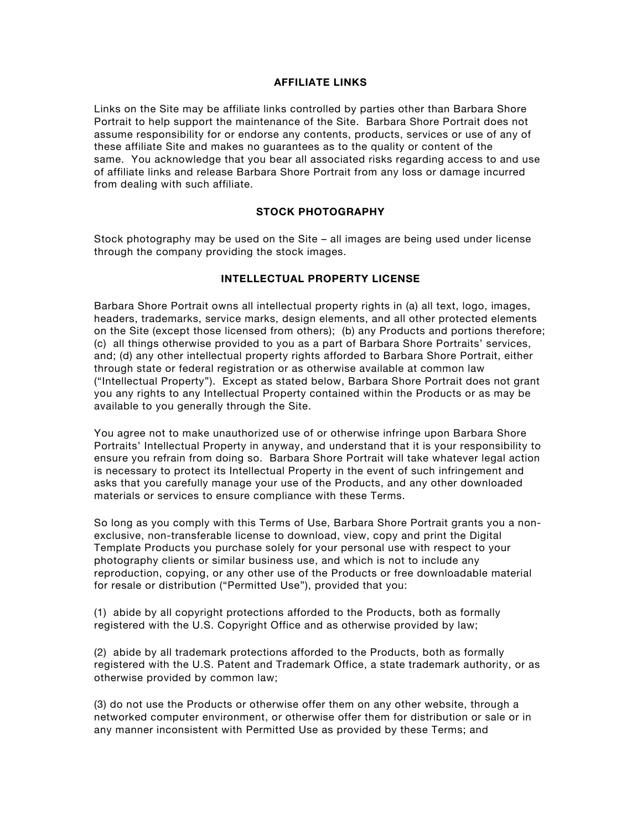### **AFFILIATE LINKS**

Links on the Site may be affiliate links controlled by parties other than Barbara Shore Portrait to help support the maintenance of the Site. Barbara Shore Portrait does not assume responsibility for or endorse any contents, products, services or use of any of these affiliate Site and makes no guarantees as to the quality or content of the same. You acknowledge that you bear all associated risks regarding access to and use of affiliate links and release Barbara Shore Portrait from any loss or damage incurred from dealing with such affiliate.

#### **STOCK PHOTOGRAPHY**

Stock photography may be used on the Site – all images are being used under license through the company providing the stock images.

### **INTELLECTUAL PROPERTY LICENSE**

Barbara Shore Portrait owns all intellectual property rights in (a) all text, logo, images, headers, trademarks, service marks, design elements, and all other protected elements on the Site (except those licensed from others); (b) any Products and portions therefore; (c) all things otherwise provided to you as a part of Barbara Shore Portraits' services, and; (d) any other intellectual property rights afforded to Barbara Shore Portrait, either through state or federal registration or as otherwise available at common law ("Intellectual Property"). Except as stated below, Barbara Shore Portrait does not grant you any rights to any Intellectual Property contained within the Products or as may be available to you generally through the Site.

You agree not to make unauthorized use of or otherwise infringe upon Barbara Shore Portraits' Intellectual Property in anyway, and understand that it is your responsibility to ensure you refrain from doing so. Barbara Shore Portrait will take whatever legal action is necessary to protect its Intellectual Property in the event of such infringement and asks that you carefully manage your use of the Products, and any other downloaded materials or services to ensure compliance with these Terms.

So long as you comply with this Terms of Use, Barbara Shore Portrait grants you a nonexclusive, non-transferable license to download, view, copy and print the Digital Template Products you purchase solely for your personal use with respect to your photography clients or similar business use, and which is not to include any reproduction, copying, or any other use of the Products or free downloadable material for resale or distribution ("Permitted Use"), provided that you:

(1) abide by all copyright protections afforded to the Products, both as formally registered with the U.S. Copyright Office and as otherwise provided by law;

(2) abide by all trademark protections afforded to the Products, both as formally registered with the U.S. Patent and Trademark Office, a state trademark authority, or as otherwise provided by common law;

(3) do not use the Products or otherwise offer them on any other website, through a networked computer environment, or otherwise offer them for distribution or sale or in any manner inconsistent with Permitted Use as provided by these Terms; and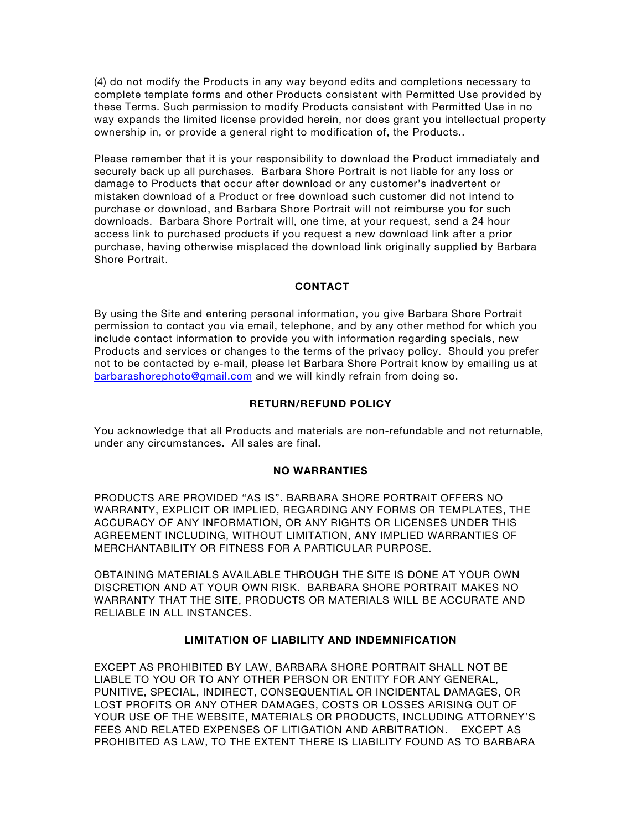(4) do not modify the Products in any way beyond edits and completions necessary to complete template forms and other Products consistent with Permitted Use provided by these Terms. Such permission to modify Products consistent with Permitted Use in no way expands the limited license provided herein, nor does grant you intellectual property ownership in, or provide a general right to modification of, the Products..

Please remember that it is your responsibility to download the Product immediately and securely back up all purchases. Barbara Shore Portrait is not liable for any loss or damage to Products that occur after download or any customer's inadvertent or mistaken download of a Product or free download such customer did not intend to purchase or download, and Barbara Shore Portrait will not reimburse you for such downloads. Barbara Shore Portrait will, one time, at your request, send a 24 hour access link to purchased products if you request a new download link after a prior purchase, having otherwise misplaced the download link originally supplied by Barbara Shore Portrait.

# **CONTACT**

By using the Site and entering personal information, you give Barbara Shore Portrait permission to contact you via email, telephone, and by any other method for which you include contact information to provide you with information regarding specials, new Products and services or changes to the terms of the privacy policy. Should you prefer not to be contacted by e-mail, please let Barbara Shore Portrait know by emailing us at barbarashorephoto@gmail.com and we will kindly refrain from doing so.

# **RETURN/REFUND POLICY**

You acknowledge that all Products and materials are non-refundable and not returnable, under any circumstances. All sales are final.

#### **NO WARRANTIES**

PRODUCTS ARE PROVIDED "AS IS". BARBARA SHORE PORTRAIT OFFERS NO WARRANTY, EXPLICIT OR IMPLIED, REGARDING ANY FORMS OR TEMPLATES, THE ACCURACY OF ANY INFORMATION, OR ANY RIGHTS OR LICENSES UNDER THIS AGREEMENT INCLUDING, WITHOUT LIMITATION, ANY IMPLIED WARRANTIES OF MERCHANTABILITY OR FITNESS FOR A PARTICULAR PURPOSE.

OBTAINING MATERIALS AVAILABLE THROUGH THE SITE IS DONE AT YOUR OWN DISCRETION AND AT YOUR OWN RISK. BARBARA SHORE PORTRAIT MAKES NO WARRANTY THAT THE SITE, PRODUCTS OR MATERIALS WILL BE ACCURATE AND RELIABLE IN ALL INSTANCES.

# **LIMITATION OF LIABILITY AND INDEMNIFICATION**

EXCEPT AS PROHIBITED BY LAW, BARBARA SHORE PORTRAIT SHALL NOT BE LIABLE TO YOU OR TO ANY OTHER PERSON OR ENTITY FOR ANY GENERAL, PUNITIVE, SPECIAL, INDIRECT, CONSEQUENTIAL OR INCIDENTAL DAMAGES, OR LOST PROFITS OR ANY OTHER DAMAGES, COSTS OR LOSSES ARISING OUT OF YOUR USE OF THE WEBSITE, MATERIALS OR PRODUCTS, INCLUDING ATTORNEY'S FEES AND RELATED EXPENSES OF LITIGATION AND ARBITRATION. EXCEPT AS PROHIBITED AS LAW, TO THE EXTENT THERE IS LIABILITY FOUND AS TO BARBARA